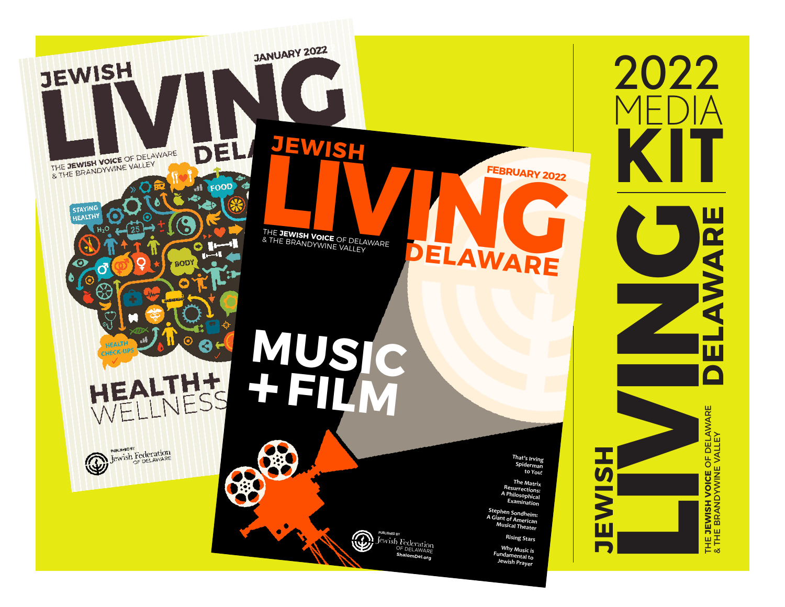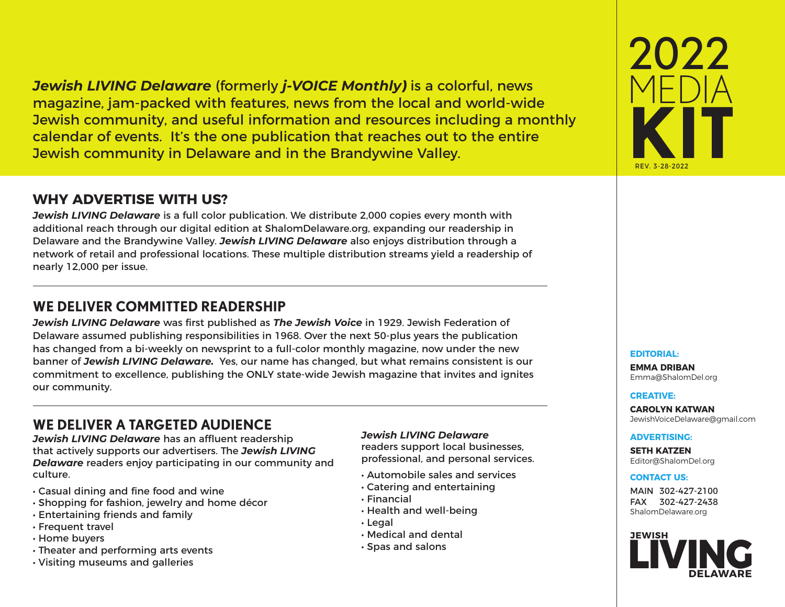*Jewish LIVING Delaware* (formerly *j-VOICE Monthly***)** is a colorful, news magazine, jam-packed with features, news from the local and world-wide Jewish community, and useful information and resources including a monthly calendar of events. It's the one publication that reaches out to the entire Jewish community in Delaware and in the Brandywine Valley.

### **WHY ADVERTISE WITH US?**

*Jewish LIVING Delaware* is a full color publication. We distribute 2,000 copies every month with additional reach through our digital edition at ShalomDelaware.org, expanding our readership in Delaware and the Brandywine Valley. *Jewish LIVING Delaware* also enjoys distribution through a network of retail and professional locations. These multiple distribution streams yield a readership of nearly 12,000 per issue.

### **WE DELIVER COMMITTED READERSHIP**

*Jewish LIVING Delaware* was first published as *The Jewish Voice* in 1929. Jewish Federation of Delaware assumed publishing responsibilities in 1968. Over the next 50-plus years the publication has changed from a bi-weekly on newsprint to a full-color monthly magazine, now under the new banner of *Jewish LIVING Delaware.* Yes, our name has changed, but what remains consistent is our commitment to excellence, publishing the ONLY state-wide Jewish magazine that invites and ignites our community.

### **WE DELIVER A TARGETED AUDIENCE**

*Jewish LIVING Delaware* has an affluent readership that actively supports our advertisers. The *Jewish LIVING Delaware* readers enjoy participating in our community and culture.

- Casual dining and fine food and wine
- Shopping for fashion, jewelry and home décor
- Entertaining friends and family
- Frequent travel
- Home buyers
- Theater and performing arts events
- Visiting museums and galleries

### *Jewish LIVING Delaware*

readers support local businesses, professional, and personal services.

- Automobile sales and services
- Catering and entertaining
- Financial
- Health and well-being
- Legal
- Medical and dental
- Spas and salons



### **EDITORIAL:**

**EMMA DRIBAN** Emma@ShalomDel.org

### **CREATIVE:**

**CAROLYN KATWAN** JewishVoiceDelaware@gmail.com

### **ADVERTISING:**

**SETH KATZEN** Editor@ShalomDel.org

### **CONTACT US:**

MAIN 302-427-2100 FAX 302-427-2438 ShalomDelaware.org

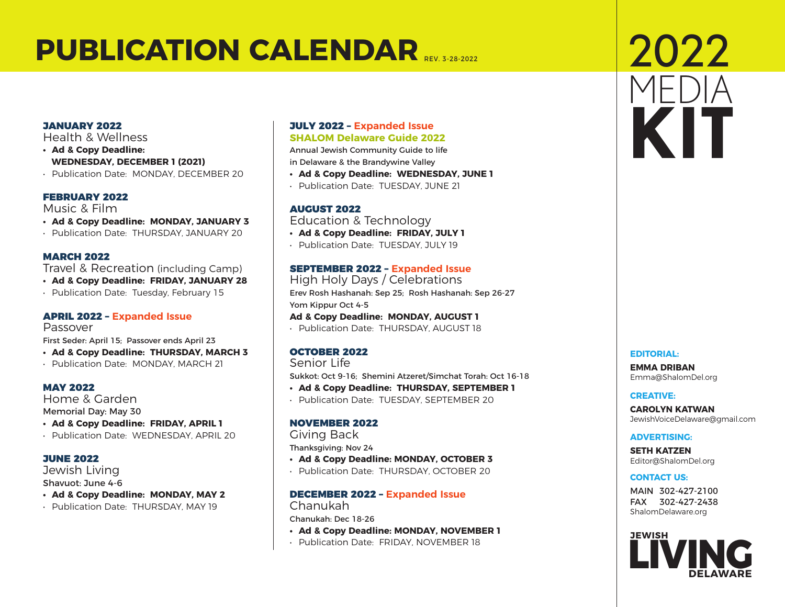## **PUBLICATION CALENDAR**

### JANUARY 2022

Health & Wellness

- **• Ad & Copy Deadline: WEDNESDAY, DECEMBER 1 (2021)**
- Publication Date: MONDAY, DECEMBER 20

### FEBRUARY 2022

Music & Film

- **• Ad & Copy Deadline: MONDAY, JANUARY 3**
- Publication Date: THURSDAY, JANUARY 20

### MARCH 2022

Travel & Recreation (including Camp)

- **• Ad & Copy Deadline: FRIDAY, JANUARY 28**
- Publication Date: Tuesday, February 15

### APRIL 2022 – **Expanded Issue**

Passover First Seder: April 15; Passover ends April 23

- **• Ad & Copy Deadline: THURSDAY, MARCH 3**
- Publication Date: MONDAY, MARCH 21

### MAY 2022

Home & Garden Memorial Day: May 30

- **• Ad & Copy Deadline: FRIDAY, APRIL 1**
- Publication Date: WEDNESDAY, APRIL 20

### JUNE 2022

Jewish Living Shavuot: June 4-6

- **• Ad & Copy Deadline: MONDAY, MAY 2**
- Publication Date: THURSDAY, MAY 19

### JULY 2022 – **Expanded Issue SHALOM Delaware Guide 2022**

Annual Jewish Community Guide to life in Delaware & the Brandywine Valley

- **• Ad & Copy Deadline: WEDNESDAY, JUNE 1**
- Publication Date: TUESDAY, JUNE 21

### AUGUST 2022

Education & Technology

- **• Ad & Copy Deadline: FRIDAY, JULY 1**
- Publication Date: TUESDAY, JULY 19

### SEPTEMBER 2022 – **Expanded Issue**

High Holy Days / Celebrations Erev Rosh Hashanah: Sep 25; Rosh Hashanah: Sep 26-27 Yom Kippur Oct 4-5

**Ad & Copy Deadline: MONDAY, AUGUST 1**

• Publication Date: THURSDAY, AUGUST 18

### OCTOBER 2022

Senior Life

Sukkot: Oct 9-16; Shemini Atzeret/Simchat Torah: Oct 16-18

- **• Ad & Copy Deadline: THURSDAY, SEPTEMBER 1**
- Publication Date: TUESDAY, SEPTEMBER 20

### NOVEMBER 2022

Giving Back

Thanksgiving: Nov 24

- **• Ad & Copy Deadline: MONDAY, OCTOBER 3**
- Publication Date: THURSDAY, OCTOBER 20

### DECEMBER 2022 – **Expanded Issue** Chanukah

Chanukah: Dec 18-26

- **• Ad & Copy Deadline: MONDAY, NOVEMBER 1**
- Publication Date: FRIDAY, NOVEMBER 18

## 2022 MEDIA **KIT**

### **EDITORIAL:**

**EMMA DRIBAN** Emma@ShalomDel.org

### **CREATIVE:**

**CAROLYN KATWAN** JewishVoiceDelaware@gmail.com

### **ADVERTISING:**

**SETH KATZEN** Editor@ShalomDel.org

### **CONTACT US:**

MAIN 302-427-2100 FAX 302-427-2438 ShalomDelaware.org